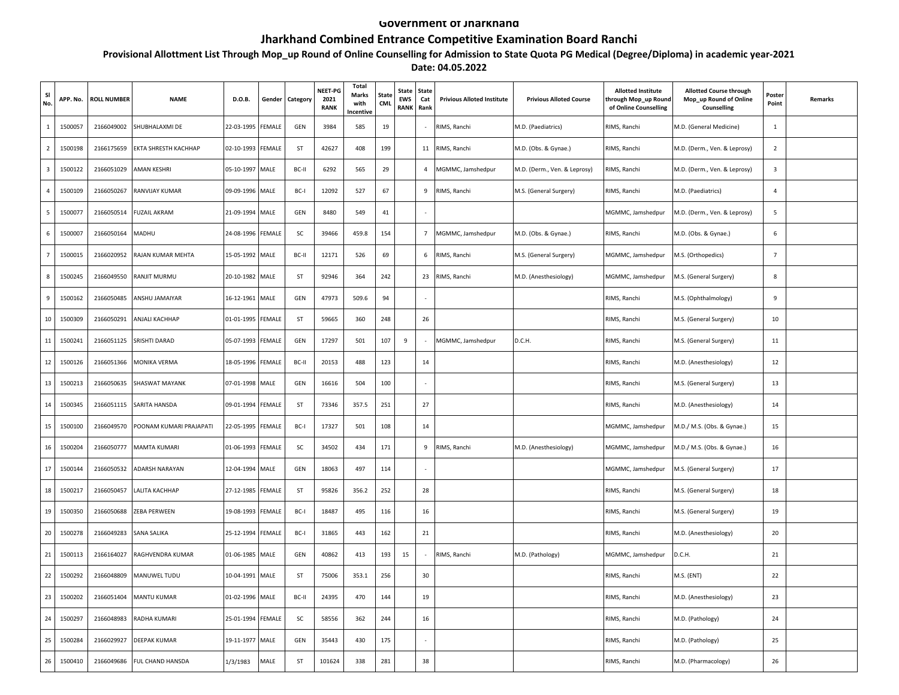## **Government of Jharkhand**

## **Jharkhand Combined Entrance Competitive Examination Board Ranchi**

## **Provisional Allottment List Through Mop\_up Round of Online Counselling for Admission to State Quota PG Medical (Degree/Diploma) in academic year-2021 Date: 04.05.2022**

| SI<br>No.      | APP. No. | <b>ROLL NUMBER</b> | <b>NAME</b>             | D.O.B.     | Gender | Category | NEET-PG<br>2021<br><b>RANK</b> | Total<br><b>Marks</b><br>with<br>Incentive | State<br>CML | State<br><b>EWS</b><br><b>RANK</b> | <b>State</b><br>Cat<br>Rank | <b>Privious Alloted Institute</b> | <b>Privious Alloted Course</b> | <b>Allotted Institute</b><br>hrough Mop_up Round<br>of Online Counselling | <b>Allotted Course through</b><br>Mop_up Round of Online<br>Counselling | Postei<br>Point         | <b>Remarks</b> |
|----------------|----------|--------------------|-------------------------|------------|--------|----------|--------------------------------|--------------------------------------------|--------------|------------------------------------|-----------------------------|-----------------------------------|--------------------------------|---------------------------------------------------------------------------|-------------------------------------------------------------------------|-------------------------|----------------|
| $\mathbf{1}$   | 1500057  | 2166049002         | SHUBHALAXMI DE          | 22-03-1995 | FEMALE | GEN      | 3984                           | 585                                        | 19           |                                    | $\sim$                      | RIMS, Ranchi                      | M.D. (Paediatrics)             | RIMS, Ranchi                                                              | M.D. (General Medicine)                                                 | 1                       |                |
| 2              | 1500198  | 2166175659         | EKTA SHRESTH KACHHAP    | 02-10-1993 | FEMALE | ST       | 42627                          | 408                                        | 199          |                                    | 11                          | RIMS, Ranchi                      | M.D. (Obs. & Gynae.)           | RIMS, Ranchi                                                              | M.D. (Derm., Ven. & Leprosy)                                            | $\overline{2}$          |                |
| $\overline{3}$ | 1500122  | 2166051029         | AMAN KESHRI             | 05-10-1997 | MALE   | BC-II    | 6292                           | 565                                        | 29           |                                    | $\overline{4}$              | MGMMC, Jamshedpur                 | M.D. (Derm., Ven. & Leprosy)   | RIMS, Ranchi                                                              | M.D. (Derm., Ven. & Leprosy)                                            | $\overline{\mathbf{3}}$ |                |
| 4              | 1500109  | 2166050267         | RANVIJAY KUMAR          | 09-09-1996 | MALE   | BC-I     | 12092                          | 527                                        | 67           |                                    | 9                           | RIMS, Ranchi                      | M.S. (General Surgery)         | RIMS, Ranchi                                                              | M.D. (Paediatrics)                                                      | $\overline{4}$          |                |
| 5              | 1500077  | 2166050514         | FUZAIL AKRAM            | 21-09-1994 | MALE   | GEN      | 8480                           | 549                                        | 41           |                                    |                             |                                   |                                | MGMMC, Jamshedpur                                                         | VI.D. (Derm., Ven. & Leprosy)                                           | 5                       |                |
| 6              | 1500007  | 2166050164         | MADHU                   | 24-08-1996 | FEMALE | SC       | 39466                          | 459.8                                      | 154          |                                    | $7\overline{ }$             | MGMMC, Jamshedpur                 | M.D. (Obs. & Gynae.)           | RIMS, Ranchi                                                              | M.D. (Obs. & Gynae.)                                                    | 6                       |                |
| 7              | 1500015  | 2166020952         | RAJAN KUMAR MEHTA       | 15-05-1992 | MALE   | BC-II    | 12171                          | 526                                        | 69           |                                    | 6                           | RIMS, Ranchi                      | M.S. (General Surgery)         | MGMMC, Jamshedpur                                                         | M.S. (Orthopedics)                                                      | $\overline{7}$          |                |
| 8              | 1500245  | 2166049550         | RANJIT MURMU            | 20-10-1982 | MALE   | ST       | 92946                          | 364                                        | 242          |                                    | 23                          | RIMS, Ranchi                      | M.D. (Anesthesiology)          | MGMMC, Jamshedpur                                                         | M.S. (General Surgery)                                                  | 8                       |                |
| 9              | 1500162  | 2166050485         | ANSHU JAMAIYAR          | 16-12-1961 | MALE   | GEN      | 47973                          | 509.6                                      | 94           |                                    |                             |                                   |                                | RIMS, Ranchi                                                              | M.S. (Ophthalmology)                                                    | 9                       |                |
| 10             | 1500309  | 2166050291         | ANJALI KACHHAP          | 01-01-1995 | FEMALE | ST       | 59665                          | 360                                        | 248          |                                    | 26                          |                                   |                                | RIMS, Ranchi                                                              | M.S. (General Surgery)                                                  | 10                      |                |
| $11\,$         | 1500241  | 2166051125         | SRISHTI DARAD           | 05-07-1993 | FEMALE | GEN      | 17297                          | 501                                        | 107          | 9                                  |                             | MGMMC, Jamshedpur                 | D.C.H.                         | RIMS, Ranchi                                                              | M.S. (General Surgery)                                                  | 11                      |                |
| 12             | 1500126  | 2166051366         | MONIKA VERMA            | 18-05-1996 | FEMALE | BC-II    | 20153                          | 488                                        | 123          |                                    | 14                          |                                   |                                | RIMS, Ranchi                                                              | M.D. (Anesthesiology)                                                   | 12                      |                |
| 13             | 1500213  | 2166050635         | <b>SHASWAT MAYANK</b>   | 07-01-1998 | MALE   | GEN      | 16616                          | 504                                        | 100          |                                    |                             |                                   |                                | RIMS, Ranchi                                                              | M.S. (General Surgery)                                                  | 13                      |                |
| 14             | 1500345  | 2166051115         | SARITA HANSDA           | 09-01-1994 | FEMALE | ST       | 73346                          | 357.5                                      | 251          |                                    | 27                          |                                   |                                | RIMS, Ranchi                                                              | M.D. (Anesthesiology)                                                   | 14                      |                |
| 15             | 1500100  | 2166049570         | POONAM KUMARI PRAJAPATI | 22-05-1995 | FEMALE | BC-I     | 17327                          | 501                                        | 108          |                                    | 14                          |                                   |                                | MGMMC, Jamshedpur                                                         | M.D./ M.S. (Obs. & Gynae.)                                              | 15                      |                |
| 16             | 1500204  | 2166050777         | <b>MAMTA KUMARI</b>     | 01-06-1993 | FEMALE | SC       | 34502                          | 434                                        | 171          |                                    | 9                           | RIMS, Ranchi                      | M.D. (Anesthesiology)          | MGMMC, Jamshedpur                                                         | M.D./ M.S. (Obs. & Gynae.)                                              | 16                      |                |
| 17             | 1500144  | 2166050532         | ADARSH NARAYAN          | 12-04-1994 | MALE   | GEN      | 18063                          | 497                                        | 114          |                                    |                             |                                   |                                | MGMMC, Jamshedpur                                                         | M.S. (General Surgery)                                                  | 17                      |                |
| $18\,$         | 1500217  | 2166050457         | LALITA KACHHAP          | 27-12-1985 | FEMALE | ST       | 95826                          | 356.2                                      | 252          |                                    | 28                          |                                   |                                | RIMS, Ranchi                                                              | M.S. (General Surgery)                                                  | 18                      |                |
| 19             | 1500350  | 2166050688         | ZEBA PERWEEN            | 19-08-1993 | FEMALE | BC-I     | 18487                          | 495                                        | 116          |                                    | 16                          |                                   |                                | RIMS, Ranchi                                                              | M.S. (General Surgery)                                                  | 19                      |                |
| 20             | 1500278  | 2166049283         | SANA SALIKA             | 25-12-1994 | FEMALE | BC-I     | 31865                          | 443                                        | 162          |                                    | 21                          |                                   |                                | RIMS, Ranchi                                                              | M.D. (Anesthesiology)                                                   | 20                      |                |
| 21             | 1500113  | 2166164027         | RAGHVENDRA KUMAR        | 01-06-1985 | MALE   | GEN      | 40862                          | 413                                        | 193          | 15                                 |                             | RIMS, Ranchi                      | M.D. (Pathology)               | MGMMC, Jamshedpur                                                         | D.C.H.                                                                  | 21                      |                |
| 22             | 1500292  | 2166048809         | MANUWEL TUDU            | 10-04-1991 | MALE   | ST       | 75006                          | 353.1                                      | 256          |                                    | 30                          |                                   |                                | RIMS, Ranchi                                                              | M.S. (ENT)                                                              | 22                      |                |
| 23             | 1500202  | 2166051404         | MANTU KUMAR             | 01-02-1996 | MALE   | BC-II    | 24395                          | 470                                        | 144          |                                    | 19                          |                                   |                                | RIMS, Ranchi                                                              | M.D. (Anesthesiology)                                                   | 23                      |                |
| 24             | 1500297  | 2166048983         | RADHA KUMARI            | 25-01-1994 | FEMALE | SC       | 58556                          | 362                                        | 244          |                                    | 16                          |                                   |                                | RIMS, Ranchi                                                              | M.D. (Pathology)                                                        | 24                      |                |
| 25             | 1500284  | 2166029927         | DEEPAK KUMAR            | 19-11-1977 | MALE   | GEN      | 35443                          | 430                                        | 175          |                                    |                             |                                   |                                | RIMS, Ranchi                                                              | M.D. (Pathology)                                                        | 25                      |                |
| $26\,$         | 1500410  | 2166049686         | FUL CHAND HANSDA        | 1/3/1983   | MALE   | ST       | 101624                         | 338                                        | 281          |                                    | 38                          |                                   |                                | RIMS, Ranchi                                                              | M.D. (Pharmacology)                                                     | 26                      |                |